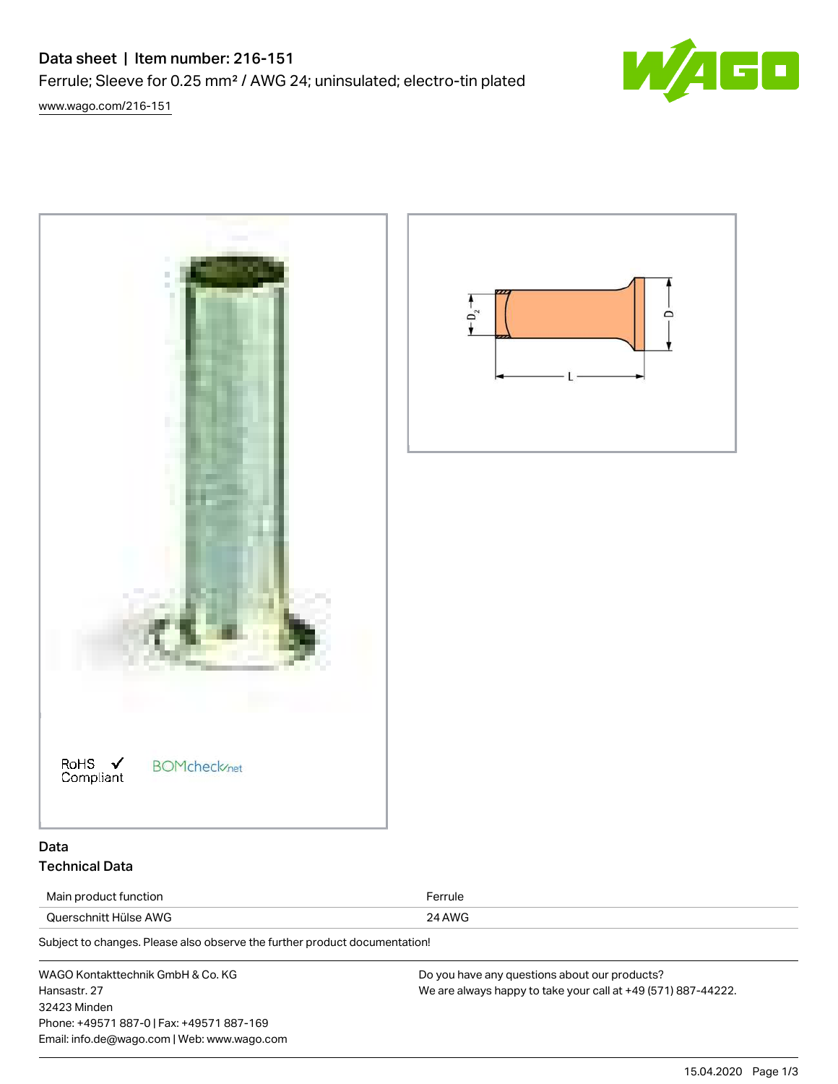## Data sheet | Item number: 216-151

Ferrule; Sleeve for 0.25 mm² / AWG 24; uninsulated; electro-tin plated



[www.wago.com/216-151](http://www.wago.com/216-151)

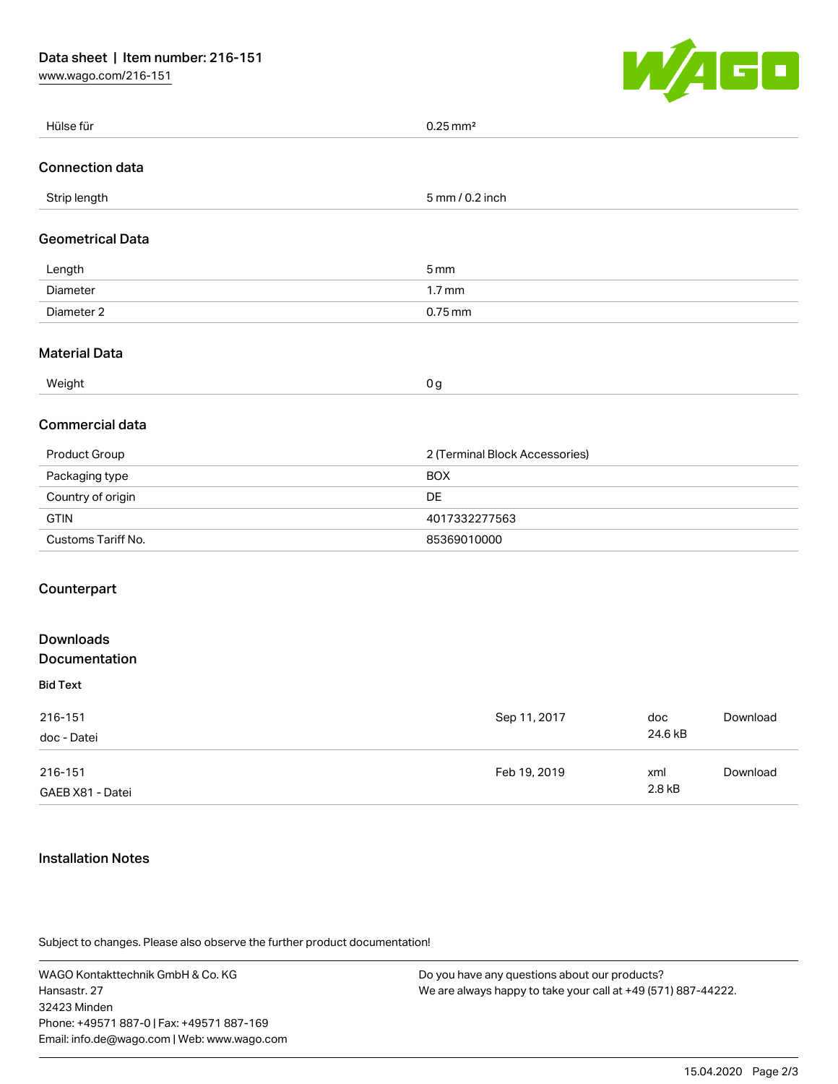[www.wago.com/216-151](http://www.wago.com/216-151)



| Hülse für               | $0.25$ mm <sup>2</sup>         |         |          |
|-------------------------|--------------------------------|---------|----------|
| <b>Connection data</b>  |                                |         |          |
| Strip length            | 5 mm / 0.2 inch                |         |          |
| <b>Geometrical Data</b> |                                |         |          |
| Length                  | 5 <sub>mm</sub>                |         |          |
| Diameter                | 1.7 <sub>mm</sub>              |         |          |
| Diameter 2              | $0.75$ mm                      |         |          |
| <b>Material Data</b>    |                                |         |          |
| Weight                  | $0 g$                          |         |          |
| <b>Commercial data</b>  |                                |         |          |
| Product Group           | 2 (Terminal Block Accessories) |         |          |
| Packaging type          | <b>BOX</b>                     |         |          |
| Country of origin       | DE                             |         |          |
| <b>GTIN</b>             | 4017332277563                  |         |          |
| Customs Tariff No.      | 85369010000                    |         |          |
| Counterpart             |                                |         |          |
| <b>Downloads</b>        |                                |         |          |
| Documentation           |                                |         |          |
| <b>Bid Text</b>         |                                |         |          |
| 216-151                 | Sep 11, 2017                   | doc     | Download |
| doc - Datei             |                                | 24.6 kB |          |
| 216-151                 | Feb 19, 2019                   | xml     | Download |
| GAEB X81 - Datei        |                                | 2.8 kB  |          |

## Installation Notes

Subject to changes. Please also observe the further product documentation!

WAGO Kontakttechnik GmbH & Co. KG Hansastr. 27 32423 Minden Phone: +49571 887-0 | Fax: +49571 887-169 Email: info.de@wago.com | Web: www.wago.com

Do you have any questions about our products? We are always happy to take your call at +49 (571) 887-44222.